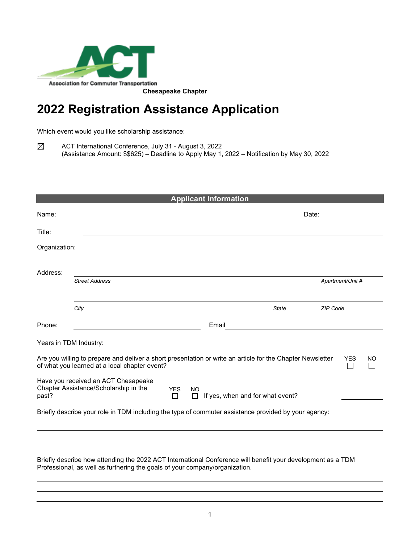

## **2022 Registration Assistance Application**

Which event would you like scholarship assistance:

 $\boxtimes$ ACT International Conference, July 31 - August 3, 2022 (Assistance Amount: \$\$625) – Deadline to Apply May 1, 2022 – Notification by May 30, 2022

| <b>Applicant Information</b>                                                                                                                                   |                                                                                                      |  |       |              |  |                  |    |
|----------------------------------------------------------------------------------------------------------------------------------------------------------------|------------------------------------------------------------------------------------------------------|--|-------|--------------|--|------------------|----|
| Name:                                                                                                                                                          |                                                                                                      |  |       | Date:        |  |                  |    |
| Title:                                                                                                                                                         |                                                                                                      |  |       |              |  |                  |    |
| Organization:                                                                                                                                                  |                                                                                                      |  |       |              |  |                  |    |
| Address:                                                                                                                                                       | <b>Street Address</b>                                                                                |  |       |              |  | Apartment/Unit # |    |
|                                                                                                                                                                |                                                                                                      |  |       |              |  |                  |    |
|                                                                                                                                                                | City                                                                                                 |  |       | <b>State</b> |  | <b>ZIP Code</b>  |    |
| Phone:                                                                                                                                                         |                                                                                                      |  | Email |              |  |                  |    |
| Years in TDM Industry:                                                                                                                                         |                                                                                                      |  |       |              |  |                  |    |
| Are you willing to prepare and deliver a short presentation or write an article for the Chapter Newsletter<br>of what you learned at a local chapter event?    |                                                                                                      |  |       |              |  | <b>YES</b>       | NO |
| Have you received an ACT Chesapeake<br>Chapter Assistance/Scholarship in the<br><b>YES</b><br><b>NO</b><br>If yes, when and for what event?<br>past?<br>П<br>П |                                                                                                      |  |       |              |  |                  |    |
|                                                                                                                                                                | Briefly describe your role in TDM including the type of commuter assistance provided by your agency: |  |       |              |  |                  |    |
|                                                                                                                                                                |                                                                                                      |  |       |              |  |                  |    |
|                                                                                                                                                                |                                                                                                      |  |       |              |  |                  |    |

Briefly describe how attending the 2022 ACT International Conference will benefit your development as a TDM Professional, as well as furthering the goals of your company/organization.